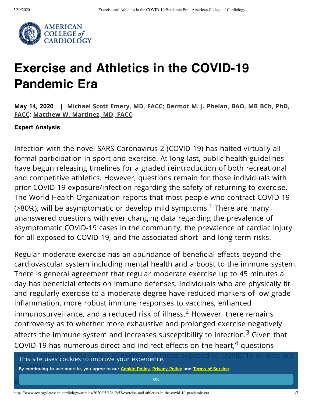

# **Exercise and Athletics in the COVID-19 Pandemic Era**

**May 14, 2020 | [Michael](http://www.acc.org/membership/person?id=d687562e-9fcd-44c1-a260-35508d2b9bc0) Scott Emery, MD, FACC; Dermot M. J. Phelan, BAO, MB BCh, PhD, FACC; Matthew W. [Martinez,](http://www.acc.org/membership/person?id=4a540c07-0588-44be-a84d-19a60f60682f) MD, FACC**

#### **Expert Analysis**

Infection with the novel SARS-Coronavirus-2 (COVID-19) has halted virtually all formal participation in sport and exercise. At long last, public health guidelines have begun releasing timelines for a graded reintroduction of both recreational and competitive athletics. However, questions remain for those individuals with prior COVID-19 exposure/infection regarding the safety of returning to exercise. The World Health Organization reports that most people who contract COVID-19 ( $>80\%$ ), will be asymptomatic or develop mild symptoms.<sup>1</sup> There are many unanswered questions with ever changing data regarding the prevalence of asymptomatic COVID-19 cases in the community, the prevalence of cardiac injury for all exposed to COVID-19, and the associated short- and long-term risks.

Regular moderate exercise has an abundance of beneficial effects beyond the cardiovascular system including mental health and a boost to the immune system. There is general agreement that regular moderate exercise up to 45 minutes a day has beneficial effects on immune defenses. Individuals who are physically fit and regularly exercise to a moderate degree have reduced markers of low-grade inflammation, more robust immune responses to vaccines, enhanced immunosurveillance, and a reduced risk of illness. $2$  However, there remains controversy as to whether more exhaustive and prolonged exercise negatively affects the immune system and increases susceptibility to infection. $3$  Given that COVID-19 has numerous direct and indirect effects on the heart, $4$  questions

This site uses cookies to improve your experience. This site uses to COVID-19 or who are

By continuing to use our site, you agree to our [Cookie](https://www.acc.org/footer-pages/cookie-policy) Policy, [Privacy](https://www.acc.org/footer-pages/privacy-policy) Policy and Terms of [Service.](https://www.acc.org/footer-pages/terms-and-conditions)

**What effect does [COVID-19](javascript:return false;) have on the heart? OK**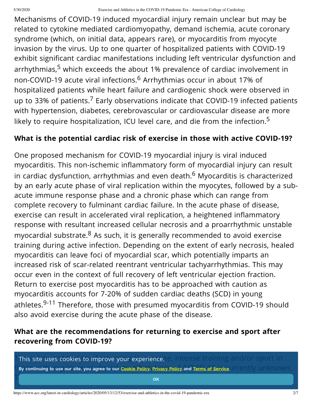Mechanisms of COVID-19 induced myocardial injury remain unclear but may be related to cytokine mediated cardiomyopathy, demand ischemia, acute coronary syndrome (which, on initial data, appears rare), or myocarditis from myocyte invasion by the virus. Up to one quarter of hospitalized patients with COVID-19 exhibit significant cardiac manifestations including left ventricular dysfunction and arrhythmias,<sup>5</sup> which exceeds the about 1% prevalence of cardiac involvement in non-COVID-19 acute viral infections.<sup>6</sup> Arrhythmias occur in about 17% of hospitalized patients while heart failure and cardiogenic shock were observed in up to 33% of patients.<sup>7</sup> Early observations indicate that COVID-19 infected patients with hypertension, diabetes, cerebrovascular or cardiovascular disease are more likely to require hospitalization, ICU level care, and die from the infection.<sup>5</sup>

### **What is the potential cardiac risk of exercise in those with active COVID-19?**

One proposed mechanism for COVID-19 myocardial injury is viral induced myocarditis. This non-ischemic inflammatory form of myocardial injury can result in cardiac dysfunction, arrhythmias and even death. $6$  Myocarditis is characterized by an early acute phase of viral replication within the myocytes, followed by a subacute immune response phase and a chronic phase which can range from complete recovery to fulminant cardiac failure. In the acute phase of disease, exercise can result in accelerated viral replication, a heightened inflammatory response with resultant increased cellular necrosis and a proarrhythmic unstable myocardial substrate. $8$  As such, it is generally recommended to avoid exercise training during active infection. Depending on the extent of early necrosis, healed myocarditis can leave foci of myocardial scar, which potentially imparts an increased risk of scar-related reentrant ventricular tachyarrhythmias. This may occur even in the context of full recovery of left ventricular ejection fraction. Return to exercise post myocarditis has to be approached with caution as myocarditis accounts for 7-20% of sudden cardiac deaths (SCD) in young athletes.<sup>9-11</sup> Therefore, those with presumed myocarditis from COVID-19 should also avoid exercise during the acute phase of the disease.

### **What are the recommendations for returning to exercise and sport after recovering from COVID-19?**

 $\top$ This site uses cookies to improve your experience. $\infty$  intense training and/or sport in  $\top$ UBy continuing to use our site, you agree to our <u>Cookie Policy, Privacy Policy</u> and <mark>Terms of Service</mark>.UITENtly UNKNOWN.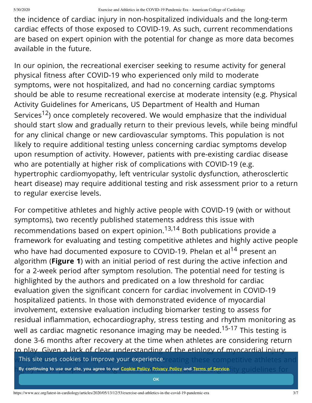the incidence of cardiac injury in non-hospitalized individuals and the long-term cardiac effects of those exposed to COVID-19. As such, current recommendations are based on expert opinion with the potential for change as more data becomes available in the future.

In our opinion, the recreational exerciser seeking to resume activity for general physical fitness after COVID-19 who experienced only mild to moderate symptoms, were not hospitalized, and had no concerning cardiac symptoms should be able to resume recreational exercise at moderate intensity (e.g. Physical Activity Guidelines for Americans, US Department of Health and Human Services<sup>12</sup>) once completely recovered. We would emphasize that the individual should start slow and gradually return to their previous levels, while being mindful for any clinical change or new cardiovascular symptoms. This population is not likely to require additional testing unless concerning cardiac symptoms develop upon resumption of activity. However, patients with pre-existing cardiac disease who are potentially at higher risk of complications with COVID-19 (e.g. hypertrophic cardiomyopathy, left ventricular systolic dysfunction, atherosclertic heart disease) may require additional testing and risk assessment prior to a return to regular exercise levels.

For competitive athletes and highly active people with COVID-19 (with or without symptoms), two recently published statements address this issue with recommendations based on expert opinion.<sup>13,14</sup> Both publications provide a framework for evaluating and testing competitive athletes and highly active people who have had documented exposure to COVID-19. Phelan et al<sup>14</sup> present an algorithm (**Figure 1**) with an initial period of rest during the active infection and for a 2-week period after symptom resolution. The potential need for testing is highlighted by the authors and predicated on a low threshold for cardiac evaluation given the significant concern for cardiac involvement in COVID-19 hospitalized patients. In those with demonstrated evidence of myocardial involvement, extensive evaluation including biomarker testing to assess for residual inflammation, echocardiography, stress testing and rhythm monitoring as well as cardiac magnetic resonance imaging may be needed.<sup>15-17</sup> This testing is done 3-6 months after recovery at the time when athletes are considering return to play. Given a lack of clear understanding of the etiology of myocardial injury w**This site uses cookies to improve your experience** reating these competitive athletes and n By continuing to use our site, you agree to our <u>[Cookie](https://www.acc.org/footer-pages/cookie-policy) Policy, Privacy Policy</u> and <u>Terms of Service. All produce</u> in the second of the Service and the Service and the Service and the Service and the Service and the Se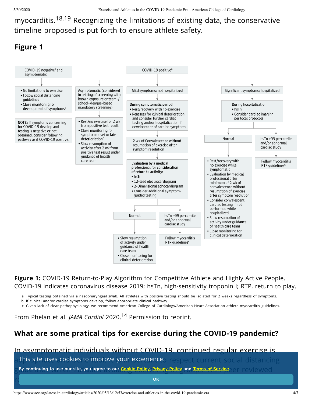myocarditis.18,19 Recognizing the limitations of existing data, the conservative timeline proposed is put forth to ensure athlete safety.

#### **Figure 1**



**Figure 1:** COVID-19 Return-to-Play Algorithm for Competitive Athlete and Highly Active People. COVID-19 indicates coronavirus disease 2019; hsTn, high-sensitivity troponin I; RTP, return to play.

a. Typical testing obtained via a nasopharyngeal swab. All athletes with positive testing should be isolated for 2 weeks regardless of symptoms.

b. If clinical and/or cardiac symptoms develop, follow appropriate clinical pathway.

c. Given lack of clear pathophysiology, we recommend American College of Cardiology/American Heart Association athlete myocarditis guidelines.

From Phelan et al. *JAMA Cardiol* 2020.<sup>14</sup> Permission to reprint.

# **What are some pratical tips for exercise during the COVID-19 pandemic?**

In asymptomatic individuals without COVID-19, continued regular exercise is a This site uses cookies to improve your experience. The spect current social distancing ⊘ By continuing to use our site, you agree to our <u>Cookie Policy, Privacy Policy</u> and <u>Terms of Service.</u><br>○ By continuing to use our site, you agree to our <u>Cookie Policy, Privacy Policy</u> and <u>Terms of Service</u>.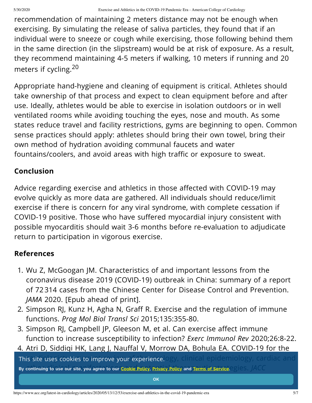recommendation of maintaining 2 meters distance may not be enough when exercising. By simulating the release of saliva particles, they found that if an individual were to sneeze or cough while exercising, those following behind them in the same direction (in the slipstream) would be at risk of exposure. As a result, they recommend maintaining 4-5 meters if walking, 10 meters if running and 20 meters if cycling.<sup>20</sup>

Appropriate hand-hygiene and cleaning of equipment is critical. Athletes should take ownership of that process and expect to clean equipment before and after use. Ideally, athletes would be able to exercise in isolation outdoors or in well ventilated rooms while avoiding touching the eyes, nose and mouth. As some states reduce travel and facility restrictions, gyms are beginning to open. Common sense practices should apply: athletes should bring their own towel, bring their own method of hydration avoiding communal faucets and water fountains/coolers, and avoid areas with high traffic or exposure to sweat.

# **Conclusion**

Advice regarding exercise and athletics in those affected with COVID-19 may evolve quickly as more data are gathered. All individuals should reduce/limit exercise if there is concern for any viral syndrome, with complete cessation if COVID-19 positive. Those who have suffered myocardial injury consistent with possible myocarditis should wait 3-6 months before re-evaluation to adjudicate return to participation in vigorous exercise.

# **References**

- 1. Wu Z, McGoogan JM. Characteristics of and important lessons from the coronavirus disease 2019 (COVID-19) outbreak in China: summary of a report of 72 314 cases from the Chinese Center for Disease Control and Prevention. *JAMA* 2020. [Epub ahead of print].
- 2. Simpson RJ, Kunz H, Agha N, Graff R. Exercise and the regulation of immune functions. *Prog Mol Biol Transl Sci* 2015;135:355-80.
- 3. Simpson RJ, Campbell JP, Gleeson M, et al. Can exercise affect immune function to increase susceptibility to infection? *Exerc Immunol Rev* 2020;26:8-22.
- 4. Atri D, Siddiqi HK, Lang J, Nauffal V, Morrow DA, Bohula EA. COVID-19 for the **This site uses cookies to improve your experience.** Ogy, clinical epidemiology, cardiac and l By continuing to use our site, you agree to our <u>[Cookie](https://www.acc.org/footer-pages/cookie-policy) Policy, Privacy Policy</u> and <u>Terms of Service, Saless, JACC</u> *[BasicTransl](javascript:return false;) Sci* 2020. [Epub ahead of print].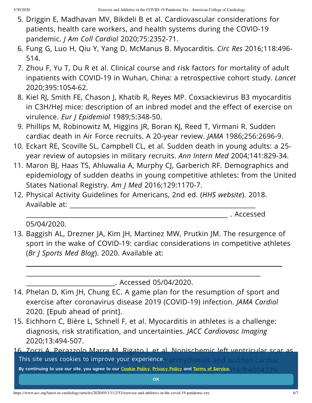- 5. Driggin E, Madhavan MV, Bikdeli B et al. Cardiovascular considerations for patients, health care workers, and health systems during the COVID-19 pandemic. *J Am Coll Cardiol* 2020;75:2352-71.
- 6. Fung G, Luo H, Qiu Y, Yang D, McManus B. Myocarditis. *Circ Res* 2016;118:496- 514.
- 7. Zhou F, Yu T, Du R et al. Clinical course and risk factors for mortality of adult inpatients with COVID-19 in Wuhan, China: a retrospective cohort study. *Lancet* 2020;395:1054-62.
- 8. Kiel RJ, Smith FE, Chason J, Khatib R, Reyes MP. Coxsackievirus B3 myocarditis in C3H/HeJ mice: description of an inbred model and the effect of exercise on virulence. *Eur J Epidemiol* 1989;5:348-50.
- 9. Phillips M, Robinowitz M, Higgins JR, Boran KJ, Reed T, Virmani R. Sudden cardiac death in Air Force recruits. A 20-year review. *JAMA* 1986;256:2696-9.
- 10. Eckart RE, Scoville SL, Campbell CL, et al. Sudden death in young adults: a 25 year review of autopsies in military recruits. *Ann Intern Med* 2004;141:829-34.
- 11. Maron BJ, Haas TS, Ahluwalia A, Murphy CJ, Garberich RF. Demographics and epidemiology of sudden deaths in young competitive athletes: from the United States National Registry. *Am J Med* 2016;129:1170-7.
- 12. Physical Activity Guidelines for Americans, 2nd ed. (*HHS website*). 2018. [Available](https://health.gov/sites/default/files/2019-09/Physical_Activity_Guidelines_2nd_edition.pdf) at:

. Accessed

05/04/2020.

13. Baggish AL, Drezner JA, Kim JH, Martinez MW, Prutkin JM. The resurgence of sport in the wake of COVID-19: cardiac considerations in competitive athletes (*Br J Sports Med Blog*). 2020. Available at:

. Accessed [05/04/2020.](https://blogs.bmj.com/bjsm/2020/04/24/the-resurgence-of-sport-in-the-wake-of-covid-19-cardiac-considerations-in-competitive-athletes/)

- 14. Phelan D, Kim JH, Chung EC. A game plan for the resumption of sport and exercise after coronavirus disease 2019 (COVID-19) infection. *JAMA Cardiol* 2020. [Epub ahead of print].
- 15. Eichhorn C, Bière L, Schnell F, et al. Myocarditis in athletes is a challenge: diagnosis, risk stratification, and uncertainties. *JACC Cardiovasc Imaging* 2020;13:494-507.
- 16. Zorzi A, Perazzolo Marra M, Rigato I, et al. Nonischemic left ventricular scar as **This site uses cookies to improve your experience.**<br> $\cdot$  arrhythmias and sudden cardiac radiac By continuing to use our site, you agree to our <mark>[Cookie](https://www.acc.org/footer-pages/cookie-policy) Policy, Privacy Policy</mark> and <u>Terms of Service</u>, 16,9:e004229.